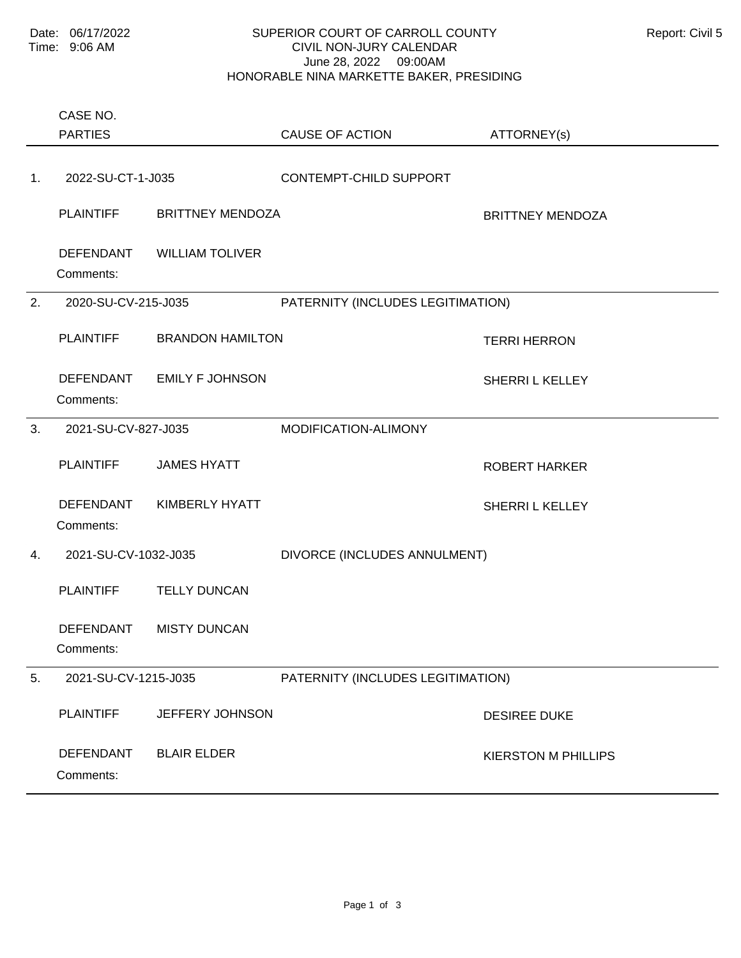## SUPERIOR COURT OF CARROLL COUNTY Report: Civil 5 CIVIL NON-JURY CALENDAR June 28, 2022 09:00AM HONORABLE NINA MARKETTE BAKER, PRESIDING

|    | CASE NO.                      |                         |                                   |                            |
|----|-------------------------------|-------------------------|-----------------------------------|----------------------------|
|    | <b>PARTIES</b>                |                         | <b>CAUSE OF ACTION</b>            | ATTORNEY(s)                |
|    |                               |                         |                                   |                            |
| 1. | 2022-SU-CT-1-J035             |                         | <b>CONTEMPT-CHILD SUPPORT</b>     |                            |
|    | <b>PLAINTIFF</b>              | <b>BRITTNEY MENDOZA</b> |                                   | <b>BRITTNEY MENDOZA</b>    |
|    | <b>DEFENDANT</b><br>Comments: | <b>WILLIAM TOLIVER</b>  |                                   |                            |
| 2. | 2020-SU-CV-215-J035           |                         | PATERNITY (INCLUDES LEGITIMATION) |                            |
|    | <b>PLAINTIFF</b>              | <b>BRANDON HAMILTON</b> |                                   | <b>TERRI HERRON</b>        |
|    | <b>DEFENDANT</b><br>Comments: | <b>EMILY F JOHNSON</b>  |                                   | SHERRIL KELLEY             |
|    |                               |                         |                                   |                            |
| 3. | 2021-SU-CV-827-J035           |                         | MODIFICATION-ALIMONY              |                            |
|    | <b>PLAINTIFF</b>              | <b>JAMES HYATT</b>      |                                   | ROBERT HARKER              |
|    | <b>DEFENDANT</b><br>Comments: | <b>KIMBERLY HYATT</b>   |                                   | SHERRIL KELLEY             |
| 4. | 2021-SU-CV-1032-J035          |                         | DIVORCE (INCLUDES ANNULMENT)      |                            |
|    | <b>PLAINTIFF</b>              | <b>TELLY DUNCAN</b>     |                                   |                            |
|    | <b>DEFENDANT</b><br>Comments: | <b>MISTY DUNCAN</b>     |                                   |                            |
| 5. | 2021-SU-CV-1215-J035          |                         | PATERNITY (INCLUDES LEGITIMATION) |                            |
|    | <b>PLAINTIFF</b>              | JEFFERY JOHNSON         |                                   | <b>DESIREE DUKE</b>        |
|    | <b>DEFENDANT</b><br>Comments: | <b>BLAIR ELDER</b>      |                                   | <b>KIERSTON M PHILLIPS</b> |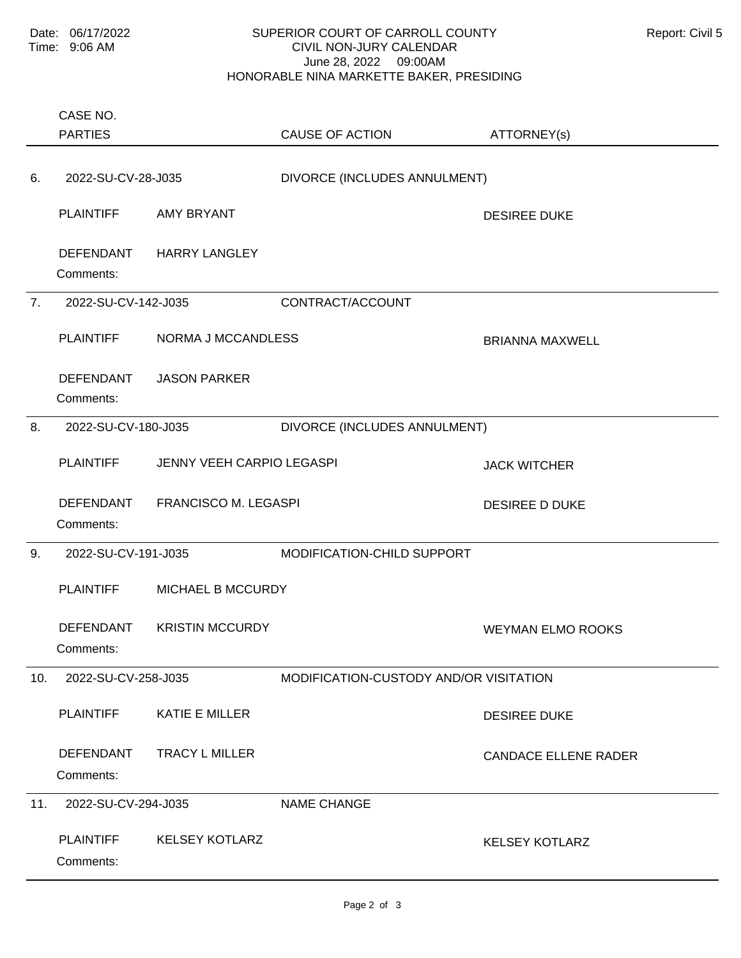## SUPERIOR COURT OF CARROLL COUNTY Report: Civil 5 CIVIL NON-JURY CALENDAR June 28, 2022 09:00AM HONORABLE NINA MARKETTE BAKER, PRESIDING

Comments: PLAINTIFF AMY BRYANT AMERY AMERICAN CONTROL AND DESIREE DUKE DEFENDANT HARRY LANGLEY 6. 2022-SU-CV-28-J035 DIVORCE (INCLUDES ANNULMENT) Comments: PLAINTIFF NORMA J MCCANDLESS BRIANNA MAXWELL DEFENDANT JASON PARKER 7. 2022-SU-CV-142-J035 CONTRACT/ACCOUNT Comments: PLAINTIFF JENNY VEEH CARPIO LEGASPI JACK WITCHER DEFENDANT FRANCISCO M. LEGASPI DESIREE D DUKE 8. 2022-SU-CV-180-J035 DIVORCE (INCLUDES ANNULMENT) Comments: PLAINTIFF MICHAEL B MCCURDY DEFENDANT KRISTIN MCCURDY WEYMAN ELMO ROOKS 9. 2022-SU-CV-191-J035 MODIFICATION-CHILD SUPPORT Comments: PLAINTIFF KATIE E MILLER DESIREE DUKE DEFENDANT TRACY L MILLER CANDACE ELLENE RADER 10. 2022-SU-CV-258-J035 MODIFICATION-CUSTODY AND/OR VISITATION Comments: PLAINTIFF KELSEY KOTLARZ KELSEY KOTLARZ 11. 2022-SU-CV-294-J035 NAME CHANGE PARTIES CASE NO. CAUSE OF ACTION ATTORNEY(s)